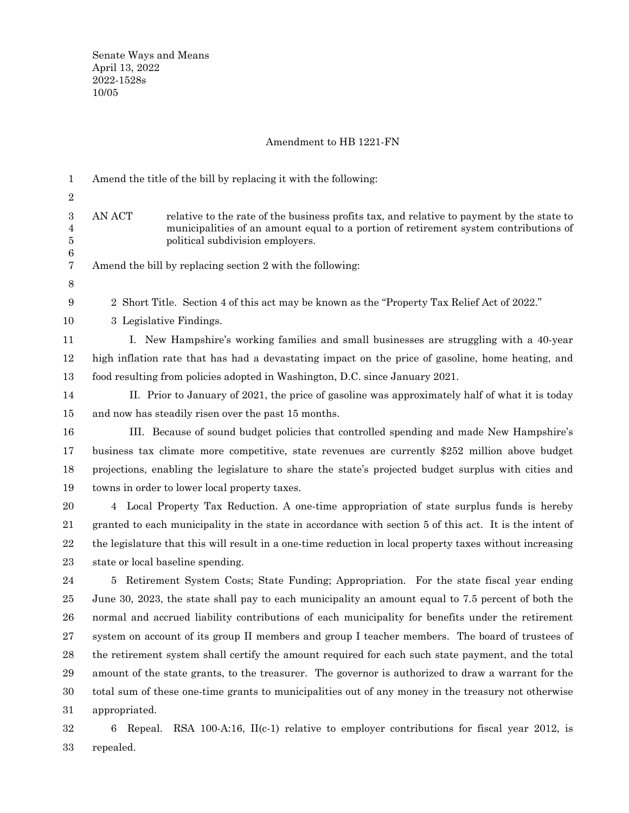# Amendment to HB 1221-FN

| 1                | Amend the title of the bill by replacing it with the following:                                                                                                                                                                 |
|------------------|---------------------------------------------------------------------------------------------------------------------------------------------------------------------------------------------------------------------------------|
| $\sqrt{2}$       |                                                                                                                                                                                                                                 |
| 3<br>4<br>5<br>6 | AN ACT<br>relative to the rate of the business profits tax, and relative to payment by the state to<br>municipalities of an amount equal to a portion of retirement system contributions of<br>political subdivision employers. |
| 7                | Amend the bill by replacing section 2 with the following:                                                                                                                                                                       |
| 8                |                                                                                                                                                                                                                                 |
| 9                | 2 Short Title. Section 4 of this act may be known as the "Property Tax Relief Act of 2022."                                                                                                                                     |
| 10               | 3 Legislative Findings.                                                                                                                                                                                                         |
| 11               | I. New Hampshire's working families and small businesses are struggling with a 40-year                                                                                                                                          |
| 12               | high inflation rate that has had a devastating impact on the price of gasoline, home heating, and                                                                                                                               |
| 13               | food resulting from policies adopted in Washington, D.C. since January 2021.                                                                                                                                                    |
| 14               | II. Prior to January of 2021, the price of gasoline was approximately half of what it is today                                                                                                                                  |
| 15               | and now has steadily risen over the past 15 months.                                                                                                                                                                             |
| 16               | III. Because of sound budget policies that controlled spending and made New Hampshire's                                                                                                                                         |
| 17               | business tax climate more competitive, state revenues are currently \$252 million above budget                                                                                                                                  |
| 18               | projections, enabling the legislature to share the state's projected budget surplus with cities and                                                                                                                             |
| 19               | towns in order to lower local property taxes.                                                                                                                                                                                   |
| 20               | 4 Local Property Tax Reduction. A one-time appropriation of state surplus funds is hereby                                                                                                                                       |
| 21               | granted to each municipality in the state in accordance with section 5 of this act. It is the intent of                                                                                                                         |
| $22\,$           | the legislature that this will result in a one-time reduction in local property taxes without increasing                                                                                                                        |
| 23               | state or local baseline spending.                                                                                                                                                                                               |
| 24               | 5 Retirement System Costs; State Funding; Appropriation. For the state fiscal year ending                                                                                                                                       |
| 25               | June 30, 2023, the state shall pay to each municipality an amount equal to 7.5 percent of both the                                                                                                                              |
| 26               | normal and accrued liability contributions of each municipality for benefits under the retirement                                                                                                                               |
| 27               | system on account of its group II members and group I teacher members. The board of trustees of                                                                                                                                 |
| 28               | the retirement system shall certify the amount required for each such state payment, and the total                                                                                                                              |
| 29               | amount of the state grants, to the treasurer. The governor is authorized to draw a warrant for the                                                                                                                              |
| 30               | total sum of these one-time grants to municipalities out of any money in the treasury not otherwise                                                                                                                             |
| 31               | appropriated.                                                                                                                                                                                                                   |
| 32               | RSA 100-A:16, $II(c-1)$ relative to employer contributions for fiscal year 2012, is<br>$\boldsymbol{6}$<br>Repeal.                                                                                                              |

repealed. 33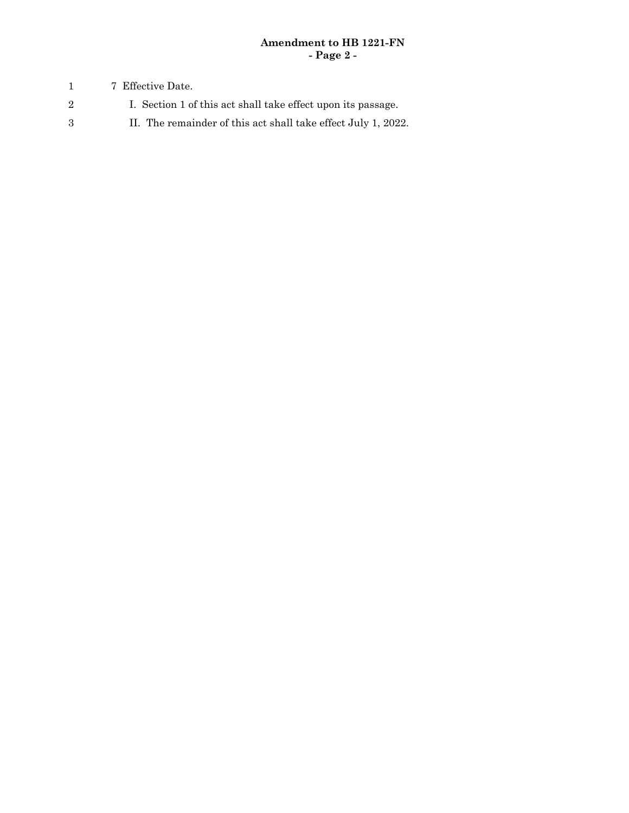## **Amendment to HB 1221-FN - Page 2 -**

#### 7 Effective Date. 1

- I. Section 1 of this act shall take effect upon its passage. 2
- II. The remainder of this act shall take effect July 1, 2022. 3